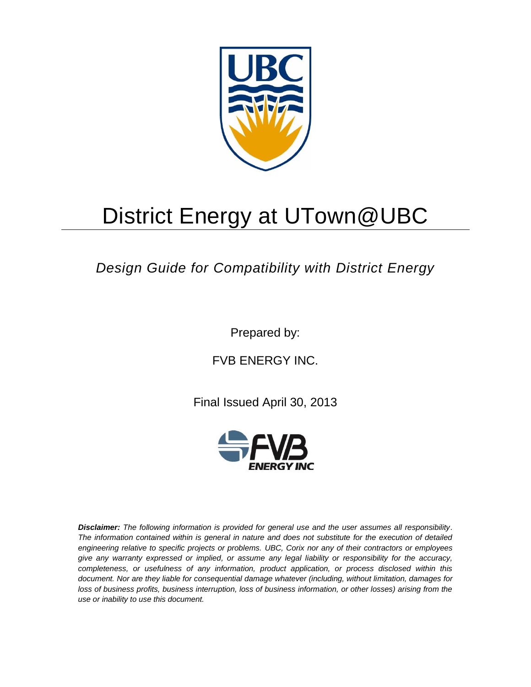

# District Energy at UTown@UBC

## *Design Guide for Compatibility with District Energy*

Prepared by:

FVB ENERGY INC.

Final Issued April 30, 2013



*Disclaimer: The following information is provided for general use and the user assumes all responsibility. The information contained within is general in nature and does not substitute for the execution of detailed engineering relative to specific projects or problems. UBC, Corix nor any of their contractors or employees give any warranty expressed or implied, or assume any legal liability or responsibility for the accuracy, completeness, or usefulness of any information, product application, or process disclosed within this document. Nor are they liable for consequential damage whatever (including, without limitation, damages for loss of business profits, business interruption, loss of business information, or other losses) arising from the use or inability to use this document.*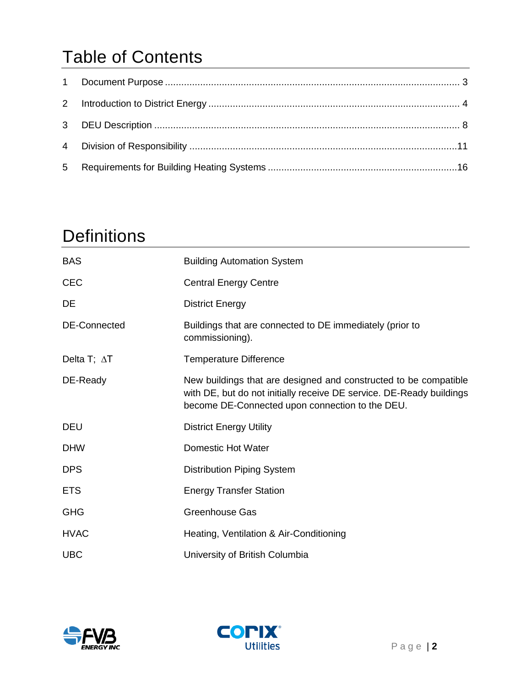## Table of Contents

## **Definitions**

| <b>BAS</b>          | <b>Building Automation System</b>                                                                                                                                                           |
|---------------------|---------------------------------------------------------------------------------------------------------------------------------------------------------------------------------------------|
| <b>CEC</b>          | <b>Central Energy Centre</b>                                                                                                                                                                |
| DE                  | <b>District Energy</b>                                                                                                                                                                      |
| <b>DE-Connected</b> | Buildings that are connected to DE immediately (prior to<br>commissioning).                                                                                                                 |
| Delta T; $\Delta T$ | <b>Temperature Difference</b>                                                                                                                                                               |
| DE-Ready            | New buildings that are designed and constructed to be compatible<br>with DE, but do not initially receive DE service. DE-Ready buildings<br>become DE-Connected upon connection to the DEU. |
| <b>DEU</b>          | <b>District Energy Utility</b>                                                                                                                                                              |
| <b>DHW</b>          | <b>Domestic Hot Water</b>                                                                                                                                                                   |
| <b>DPS</b>          | <b>Distribution Piping System</b>                                                                                                                                                           |
| <b>ETS</b>          | <b>Energy Transfer Station</b>                                                                                                                                                              |
| <b>GHG</b>          | Greenhouse Gas                                                                                                                                                                              |
| <b>HVAC</b>         | Heating, Ventilation & Air-Conditioning                                                                                                                                                     |
| <b>UBC</b>          | University of British Columbia                                                                                                                                                              |



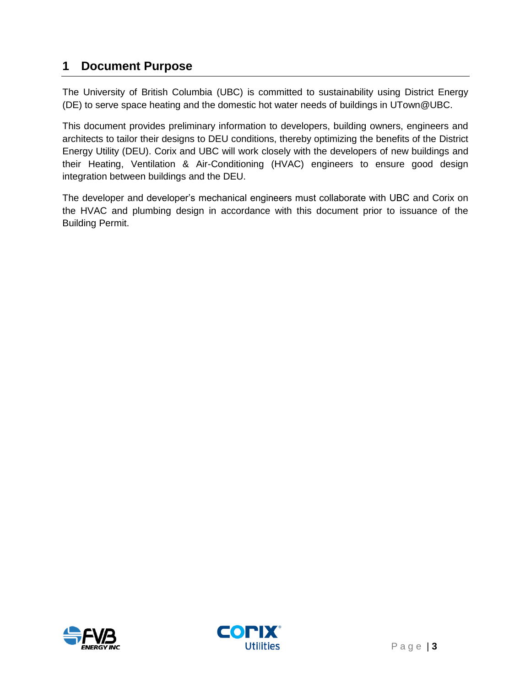## <span id="page-2-0"></span>**1 Document Purpose**

The University of British Columbia (UBC) is committed to sustainability using District Energy (DE) to serve space heating and the domestic hot water needs of buildings in UTown@UBC.

This document provides preliminary information to developers, building owners, engineers and architects to tailor their designs to DEU conditions, thereby optimizing the benefits of the District Energy Utility (DEU). Corix and UBC will work closely with the developers of new buildings and their Heating, Ventilation & Air-Conditioning (HVAC) engineers to ensure good design integration between buildings and the DEU.

The developer and developer's mechanical engineers must collaborate with UBC and Corix on the HVAC and plumbing design in accordance with this document prior to issuance of the Building Permit.



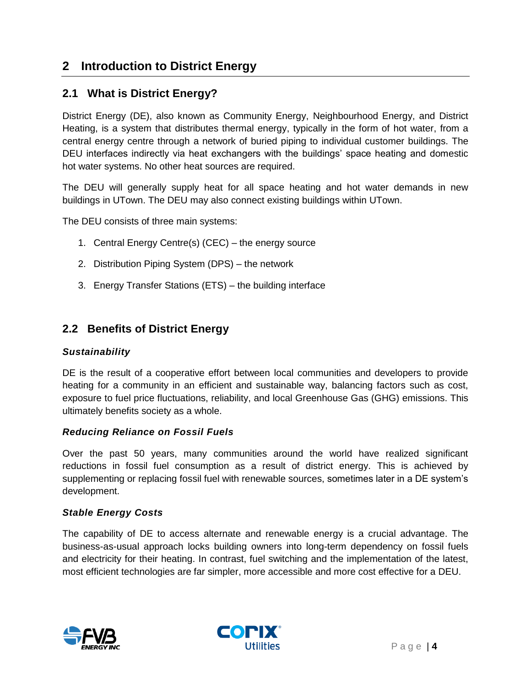## <span id="page-3-0"></span>**2 Introduction to District Energy**

## **2.1 What is District Energy?**

District Energy (DE), also known as Community Energy, Neighbourhood Energy, and District Heating, is a system that distributes thermal energy, typically in the form of hot water, from a central energy centre through a network of buried piping to individual customer buildings. The DEU interfaces indirectly via heat exchangers with the buildings' space heating and domestic hot water systems. No other heat sources are required.

The DEU will generally supply heat for all space heating and hot water demands in new buildings in UTown. The DEU may also connect existing buildings within UTown.

The DEU consists of three main systems:

- 1. Central Energy Centre(s) (CEC) the energy source
- 2. Distribution Piping System (DPS) the network
- 3. Energy Transfer Stations (ETS) the building interface

### **2.2 Benefits of District Energy**

#### *Sustainability*

DE is the result of a cooperative effort between local communities and developers to provide heating for a community in an efficient and sustainable way, balancing factors such as cost, exposure to fuel price fluctuations, reliability, and local Greenhouse Gas (GHG) emissions. This ultimately benefits society as a whole.

#### *Reducing Reliance on Fossil Fuels*

Over the past 50 years, many communities around the world have realized significant reductions in fossil fuel consumption as a result of district energy. This is achieved by supplementing or replacing fossil fuel with renewable sources, sometimes later in a DE system's development.

#### *Stable Energy Costs*

The capability of DE to access alternate and renewable energy is a crucial advantage. The business-as-usual approach locks building owners into long-term dependency on fossil fuels and electricity for their heating. In contrast, fuel switching and the implementation of the latest, most efficient technologies are far simpler, more accessible and more cost effective for a DEU.



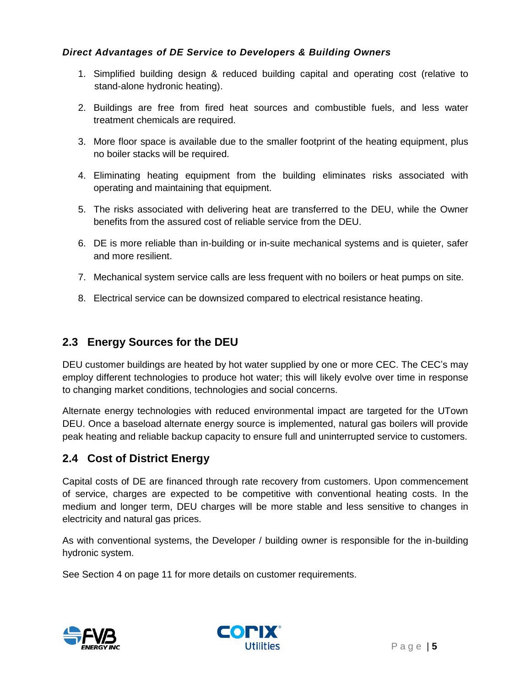### *Direct Advantages of DE Service to Developers & Building Owners*

- 1. Simplified building design & reduced building capital and operating cost (relative to stand-alone hydronic heating).
- 2. Buildings are free from fired heat sources and combustible fuels, and less water treatment chemicals are required.
- 3. More floor space is available due to the smaller footprint of the heating equipment, plus no boiler stacks will be required.
- 4. Eliminating heating equipment from the building eliminates risks associated with operating and maintaining that equipment.
- 5. The risks associated with delivering heat are transferred to the DEU, while the Owner benefits from the assured cost of reliable service from the DEU.
- 6. DE is more reliable than in-building or in-suite mechanical systems and is quieter, safer and more resilient.
- 7. Mechanical system service calls are less frequent with no boilers or heat pumps on site.
- 8. Electrical service can be downsized compared to electrical resistance heating.

## **2.3 Energy Sources for the DEU**

DEU customer buildings are heated by hot water supplied by one or more CEC. The CEC's may employ different technologies to produce hot water; this will likely evolve over time in response to changing market conditions, technologies and social concerns.

Alternate energy technologies with reduced environmental impact are targeted for the UTown DEU. Once a baseload alternate energy source is implemented, natural gas boilers will provide peak heating and reliable backup capacity to ensure full and uninterrupted service to customers.

## **2.4 Cost of District Energy**

Capital costs of DE are financed through rate recovery from customers. Upon commencement of service, charges are expected to be competitive with conventional heating costs. In the medium and longer term, DEU charges will be more stable and less sensitive to changes in electricity and natural gas prices.

As with conventional systems, the Developer / building owner is responsible for the in-building hydronic system.

See Section [4](#page-10-0) on page [11](#page-10-0) for more details on customer requirements.



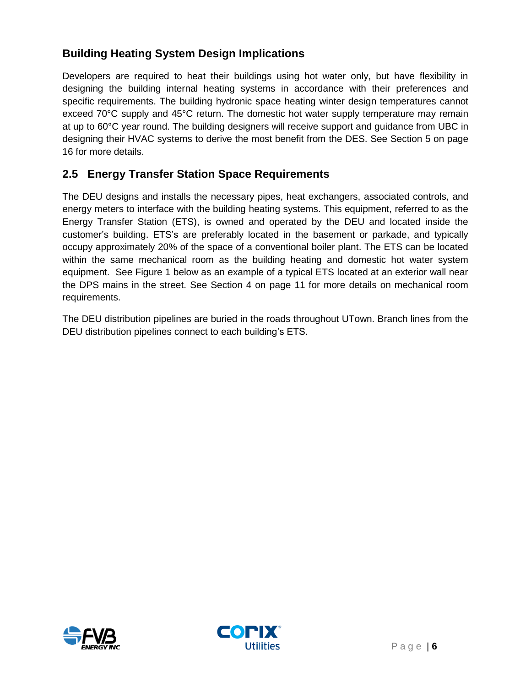## **Building Heating System Design Implications**

Developers are required to heat their buildings using hot water only, but have flexibility in designing the building internal heating systems in accordance with their preferences and specific requirements. The building hydronic space heating winter design temperatures cannot exceed 70°C supply and 45°C return. The domestic hot water supply temperature may remain at up to 60°C year round. The building designers will receive support and guidance from UBC in designing their HVAC systems to derive the most benefit from the DES. See Section [5](#page-15-0) on page [16](#page-15-0) for more details.

## **2.5 Energy Transfer Station Space Requirements**

The DEU designs and installs the necessary pipes, heat exchangers, associated controls, and energy meters to interface with the building heating systems. This equipment, referred to as the Energy Transfer Station (ETS), is owned and operated by the DEU and located inside the customer's building. ETS's are preferably located in the basement or parkade, and typically occupy approximately 20% of the space of a conventional boiler plant. The ETS can be located within the same mechanical room as the building heating and domestic hot water system equipment. See [Figure 1](#page-6-0) [below](#page-6-0) as an example of a typical ETS located at an exterior wall near the DPS mains in the street. See Section [4](#page-10-0) on page 11 for more details on mechanical room requirements.

The DEU distribution pipelines are buried in the roads throughout UTown. Branch lines from the DEU distribution pipelines connect to each building's ETS.



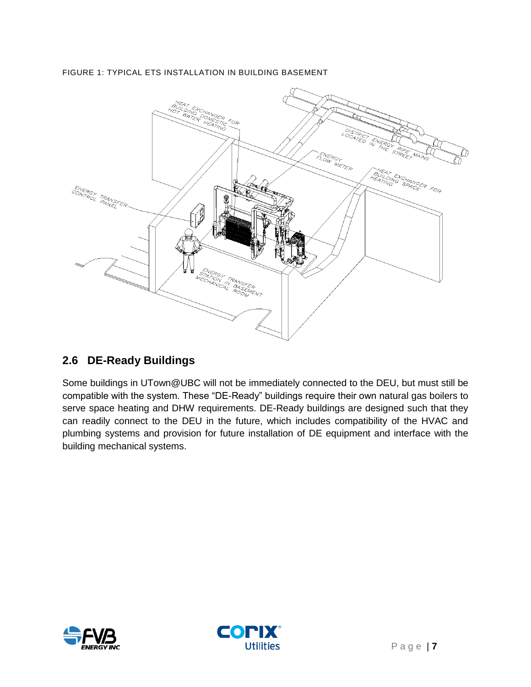<span id="page-6-0"></span>FIGURE 1: TYPICAL ETS INSTALLATION IN BUILDING BASEMENT



## **2.6 DE-Ready Buildings**

Some buildings in UTown@UBC will not be immediately connected to the DEU, but must still be compatible with the system. These "DE-Ready" buildings require their own natural gas boilers to serve space heating and DHW requirements. DE-Ready buildings are designed such that they can readily connect to the DEU in the future, which includes compatibility of the HVAC and plumbing systems and provision for future installation of DE equipment and interface with the building mechanical systems.



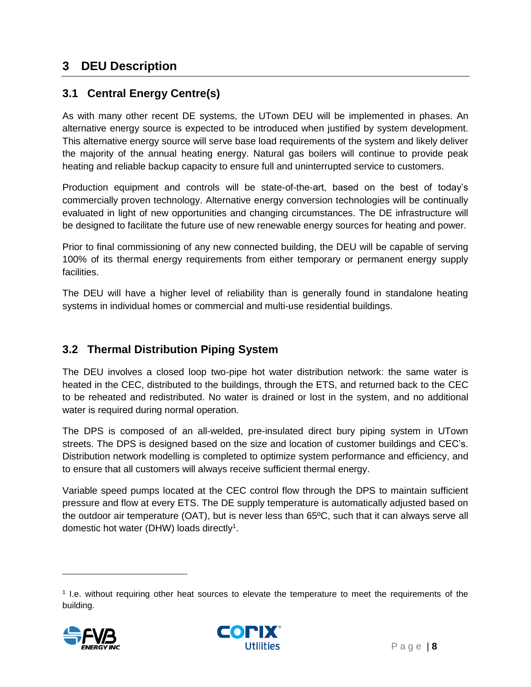## <span id="page-7-0"></span>**3 DEU Description**

## **3.1 Central Energy Centre(s)**

As with many other recent DE systems, the UTown DEU will be implemented in phases. An alternative energy source is expected to be introduced when justified by system development. This alternative energy source will serve base load requirements of the system and likely deliver the majority of the annual heating energy. Natural gas boilers will continue to provide peak heating and reliable backup capacity to ensure full and uninterrupted service to customers.

Production equipment and controls will be state-of-the-art, based on the best of today's commercially proven technology. Alternative energy conversion technologies will be continually evaluated in light of new opportunities and changing circumstances. The DE infrastructure will be designed to facilitate the future use of new renewable energy sources for heating and power.

Prior to final commissioning of any new connected building, the DEU will be capable of serving 100% of its thermal energy requirements from either temporary or permanent energy supply facilities.

The DEU will have a higher level of reliability than is generally found in standalone heating systems in individual homes or commercial and multi-use residential buildings.

## **3.2 Thermal Distribution Piping System**

The DEU involves a closed loop two-pipe hot water distribution network: the same water is heated in the CEC, distributed to the buildings, through the ETS, and returned back to the CEC to be reheated and redistributed. No water is drained or lost in the system, and no additional water is required during normal operation.

The DPS is composed of an all-welded, pre-insulated direct bury piping system in UTown streets. The DPS is designed based on the size and location of customer buildings and CEC's. Distribution network modelling is completed to optimize system performance and efficiency, and to ensure that all customers will always receive sufficient thermal energy.

Variable speed pumps located at the CEC control flow through the DPS to maintain sufficient pressure and flow at every ETS. The DE supply temperature is automatically adjusted based on the outdoor air temperature (OAT), but is never less than 65ºC, such that it can always serve all domestic hot water (DHW) loads directly<sup>1</sup>.

<sup>1</sup> I.e. without requiring other heat sources to elevate the temperature to meet the requirements of the building.



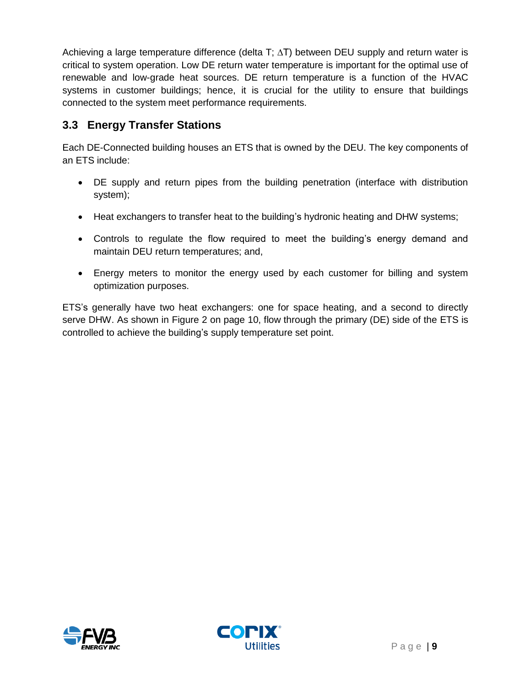Achieving a large temperature difference (delta T;  $\Delta T$ ) between DEU supply and return water is critical to system operation. Low DE return water temperature is important for the optimal use of renewable and low-grade heat sources. DE return temperature is a function of the HVAC systems in customer buildings; hence, it is crucial for the utility to ensure that buildings connected to the system meet performance requirements.

## **3.3 Energy Transfer Stations**

Each DE-Connected building houses an ETS that is owned by the DEU. The key components of an ETS include:

- DE supply and return pipes from the building penetration (interface with distribution system);
- Heat exchangers to transfer heat to the building's hydronic heating and DHW systems;
- Controls to regulate the flow required to meet the building's energy demand and maintain DEU return temperatures; and,
- Energy meters to monitor the energy used by each customer for billing and system optimization purposes.

ETS's generally have two heat exchangers: one for space heating, and a second to directly serve DHW. As shown in [Figure](#page-9-0) 2 on page [10,](#page-9-0) flow through the primary (DE) side of the ETS is controlled to achieve the building's supply temperature set point.



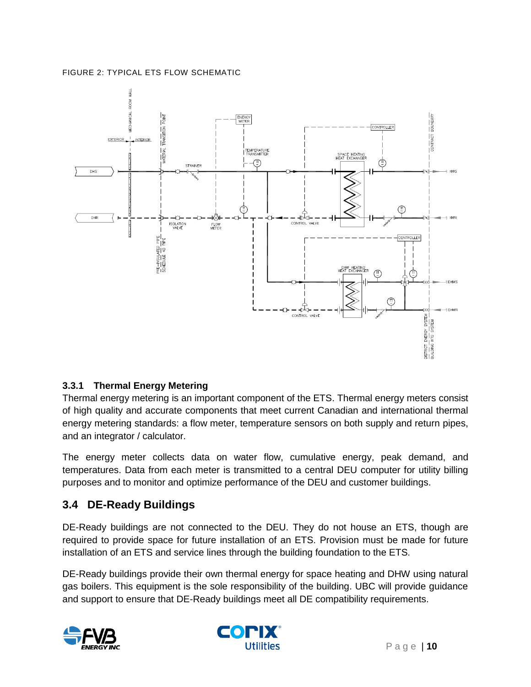#### <span id="page-9-0"></span>FIGURE 2: TYPICAL ETS FLOW SCHEMATIC



#### **3.3.1 Thermal Energy Metering**

Thermal energy metering is an important component of the ETS. Thermal energy meters consist of high quality and accurate components that meet current Canadian and international thermal energy metering standards: a flow meter, temperature sensors on both supply and return pipes, and an integrator / calculator.

The energy meter collects data on water flow, cumulative energy, peak demand, and temperatures. Data from each meter is transmitted to a central DEU computer for utility billing purposes and to monitor and optimize performance of the DEU and customer buildings.

## **3.4 DE-Ready Buildings**

DE-Ready buildings are not connected to the DEU. They do not house an ETS, though are required to provide space for future installation of an ETS. Provision must be made for future installation of an ETS and service lines through the building foundation to the ETS.

DE-Ready buildings provide their own thermal energy for space heating and DHW using natural gas boilers. This equipment is the sole responsibility of the building. UBC will provide guidance and support to ensure that DE-Ready buildings meet all DE compatibility requirements.



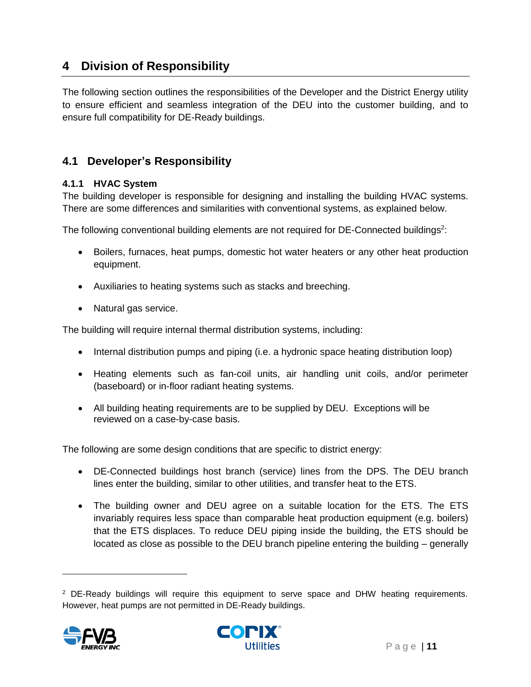## <span id="page-10-0"></span>**4 Division of Responsibility**

The following section outlines the responsibilities of the Developer and the District Energy utility to ensure efficient and seamless integration of the DEU into the customer building, and to ensure full compatibility for DE-Ready buildings.

## **4.1 Developer's Responsibility**

#### **4.1.1 HVAC System**

The building developer is responsible for designing and installing the building HVAC systems. There are some differences and similarities with conventional systems, as explained below.

The following conventional building elements are not required for DE-Connected buildings<sup>2</sup>:

- Boilers, furnaces, heat pumps, domestic hot water heaters or any other heat production equipment.
- Auxiliaries to heating systems such as stacks and breeching.
- Natural gas service.

The building will require internal thermal distribution systems, including:

- Internal distribution pumps and piping (i.e. a hydronic space heating distribution loop)
- Heating elements such as fan-coil units, air handling unit coils, and/or perimeter (baseboard) or in-floor radiant heating systems.
- All building heating requirements are to be supplied by DEU. Exceptions will be reviewed on a case-by-case basis.

The following are some design conditions that are specific to district energy:

- DE-Connected buildings host branch (service) lines from the DPS. The DEU branch lines enter the building, similar to other utilities, and transfer heat to the ETS.
- The building owner and DEU agree on a suitable location for the ETS. The ETS invariably requires less space than comparable heat production equipment (e.g. boilers) that the ETS displaces. To reduce DEU piping inside the building, the ETS should be located as close as possible to the DEU branch pipeline entering the building – generally

<sup>&</sup>lt;sup>2</sup> DE-Ready buildings will require this equipment to serve space and DHW heating requirements. However, heat pumps are not permitted in DE-Ready buildings.



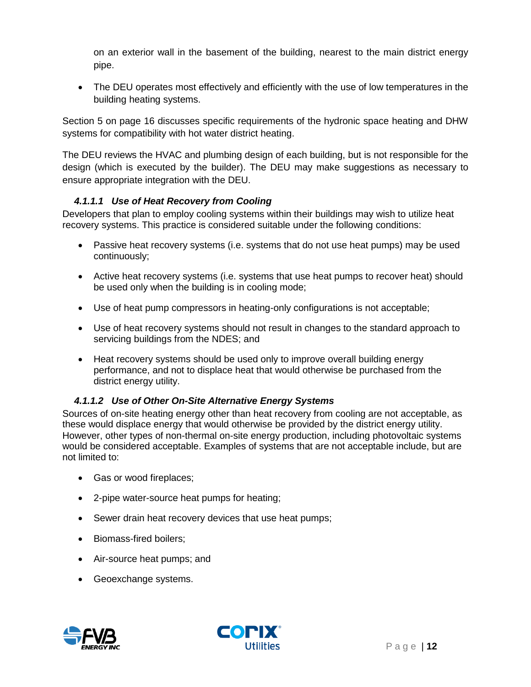on an exterior wall in the basement of the building, nearest to the main district energy pipe.

 The DEU operates most effectively and efficiently with the use of low temperatures in the building heating systems.

Section [5](#page-15-0) on page [16](#page-15-0) discusses specific requirements of the hydronic space heating and DHW systems for compatibility with hot water district heating.

The DEU reviews the HVAC and plumbing design of each building, but is not responsible for the design (which is executed by the builder). The DEU may make suggestions as necessary to ensure appropriate integration with the DEU.

#### *4.1.1.1 Use of Heat Recovery from Cooling*

Developers that plan to employ cooling systems within their buildings may wish to utilize heat recovery systems. This practice is considered suitable under the following conditions:

- Passive heat recovery systems (i.e. systems that do not use heat pumps) may be used continuously;
- Active heat recovery systems (i.e. systems that use heat pumps to recover heat) should be used only when the building is in cooling mode;
- Use of heat pump compressors in heating-only configurations is not acceptable;
- Use of heat recovery systems should not result in changes to the standard approach to servicing buildings from the NDES; and
- Heat recovery systems should be used only to improve overall building energy performance, and not to displace heat that would otherwise be purchased from the district energy utility.

### *4.1.1.2 Use of Other On-Site Alternative Energy Systems*

Sources of on-site heating energy other than heat recovery from cooling are not acceptable, as these would displace energy that would otherwise be provided by the district energy utility. However, other types of non-thermal on-site energy production, including photovoltaic systems would be considered acceptable. Examples of systems that are not acceptable include, but are not limited to:

- Gas or wood fireplaces;
- 2-pipe water-source heat pumps for heating;
- Sewer drain heat recovery devices that use heat pumps;
- Biomass-fired boilers;
- Air-source heat pumps; and
- Geoexchange systems.



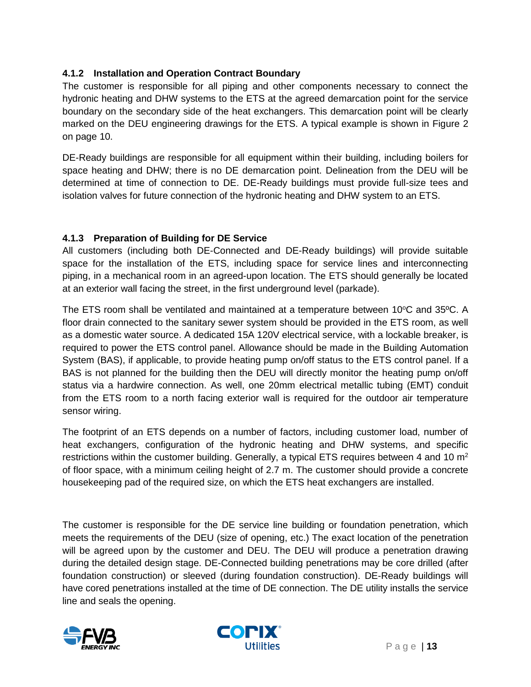#### **4.1.2 Installation and Operation Contract Boundary**

The customer is responsible for all piping and other components necessary to connect the hydronic heating and DHW systems to the ETS at the agreed demarcation point for the service boundary on the secondary side of the heat exchangers. This demarcation point will be clearly marked on the DEU engineering drawings for the ETS. A typical example is shown in [Figure](#page-9-0) 2 on page [10.](#page-9-0)

DE-Ready buildings are responsible for all equipment within their building, including boilers for space heating and DHW; there is no DE demarcation point. Delineation from the DEU will be determined at time of connection to DE. DE-Ready buildings must provide full-size tees and isolation valves for future connection of the hydronic heating and DHW system to an ETS.

#### **4.1.3 Preparation of Building for DE Service**

All customers (including both DE-Connected and DE-Ready buildings) will provide suitable space for the installation of the ETS, including space for service lines and interconnecting piping, in a mechanical room in an agreed-upon location. The ETS should generally be located at an exterior wall facing the street, in the first underground level (parkade).

The ETS room shall be ventilated and maintained at a temperature between 10°C and 35°C. A floor drain connected to the sanitary sewer system should be provided in the ETS room, as well as a domestic water source. A dedicated 15A 120V electrical service, with a lockable breaker, is required to power the ETS control panel. Allowance should be made in the Building Automation System (BAS), if applicable, to provide heating pump on/off status to the ETS control panel. If a BAS is not planned for the building then the DEU will directly monitor the heating pump on/off status via a hardwire connection. As well, one 20mm electrical metallic tubing (EMT) conduit from the ETS room to a north facing exterior wall is required for the outdoor air temperature sensor wiring.

The footprint of an ETS depends on a number of factors, including customer load, number of heat exchangers, configuration of the hydronic heating and DHW systems, and specific restrictions within the customer building. Generally, a typical ETS requires between 4 and 10  $m<sup>2</sup>$ of floor space, with a minimum ceiling height of 2.7 m. The customer should provide a concrete housekeeping pad of the required size, on which the ETS heat exchangers are installed.

The customer is responsible for the DE service line building or foundation penetration, which meets the requirements of the DEU (size of opening, etc.) The exact location of the penetration will be agreed upon by the customer and DEU. The DEU will produce a penetration drawing during the detailed design stage. DE-Connected building penetrations may be core drilled (after foundation construction) or sleeved (during foundation construction). DE-Ready buildings will have cored penetrations installed at the time of DE connection. The DE utility installs the service line and seals the opening.



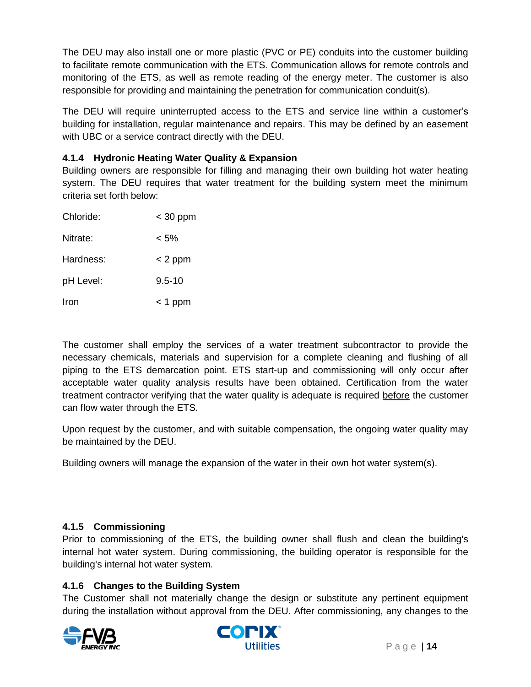The DEU may also install one or more plastic (PVC or PE) conduits into the customer building to facilitate remote communication with the ETS. Communication allows for remote controls and monitoring of the ETS, as well as remote reading of the energy meter. The customer is also responsible for providing and maintaining the penetration for communication conduit(s).

The DEU will require uninterrupted access to the ETS and service line within a customer's building for installation, regular maintenance and repairs. This may be defined by an easement with UBC or a service contract directly with the DEU.

### **4.1.4 Hydronic Heating Water Quality & Expansion**

Building owners are responsible for filling and managing their own building hot water heating system. The DEU requires that water treatment for the building system meet the minimum criteria set forth below:

| Chloride: | $<$ 30 ppm |
|-----------|------------|
| Nitrate:  | < 5%       |
| Hardness: | $<$ 2 ppm  |
| pH Level: | $9.5 - 10$ |
| Iron      | $<$ 1 ppm  |

The customer shall employ the services of a water treatment subcontractor to provide the necessary chemicals, materials and supervision for a complete cleaning and flushing of all piping to the ETS demarcation point. ETS start-up and commissioning will only occur after acceptable water quality analysis results have been obtained. Certification from the water treatment contractor verifying that the water quality is adequate is required before the customer can flow water through the ETS.

Upon request by the customer, and with suitable compensation, the ongoing water quality may be maintained by the DEU.

Building owners will manage the expansion of the water in their own hot water system(s).

### **4.1.5 Commissioning**

Prior to commissioning of the ETS, the building owner shall flush and clean the building's internal hot water system. During commissioning, the building operator is responsible for the building's internal hot water system.

### **4.1.6 Changes to the Building System**

The Customer shall not materially change the design or substitute any pertinent equipment during the installation without approval from the DEU. After commissioning, any changes to the



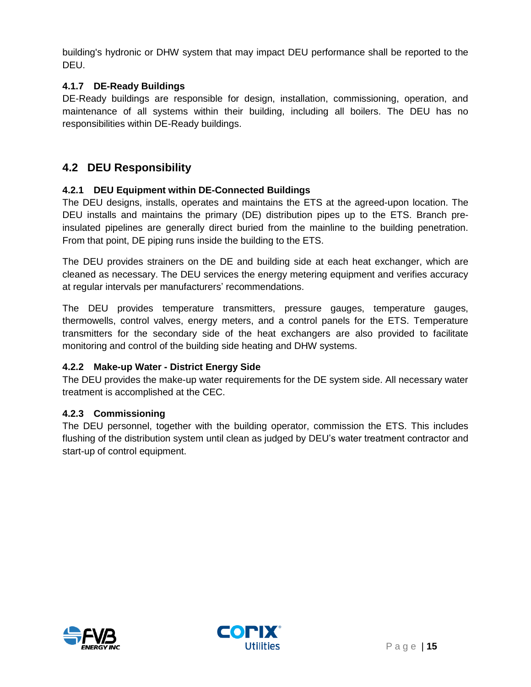building's hydronic or DHW system that may impact DEU performance shall be reported to the DEU.

### **4.1.7 DE-Ready Buildings**

DE-Ready buildings are responsible for design, installation, commissioning, operation, and maintenance of all systems within their building, including all boilers. The DEU has no responsibilities within DE-Ready buildings.

## **4.2 DEU Responsibility**

#### **4.2.1 DEU Equipment within DE-Connected Buildings**

The DEU designs, installs, operates and maintains the ETS at the agreed-upon location. The DEU installs and maintains the primary (DE) distribution pipes up to the ETS. Branch preinsulated pipelines are generally direct buried from the mainline to the building penetration. From that point, DE piping runs inside the building to the ETS.

The DEU provides strainers on the DE and building side at each heat exchanger, which are cleaned as necessary. The DEU services the energy metering equipment and verifies accuracy at regular intervals per manufacturers' recommendations.

The DEU provides temperature transmitters, pressure gauges, temperature gauges, thermowells, control valves, energy meters, and a control panels for the ETS. Temperature transmitters for the secondary side of the heat exchangers are also provided to facilitate monitoring and control of the building side heating and DHW systems.

#### **4.2.2 Make-up Water - District Energy Side**

The DEU provides the make-up water requirements for the DE system side. All necessary water treatment is accomplished at the CEC.

#### **4.2.3 Commissioning**

The DEU personnel, together with the building operator, commission the ETS. This includes flushing of the distribution system until clean as judged by DEU's water treatment contractor and start-up of control equipment.



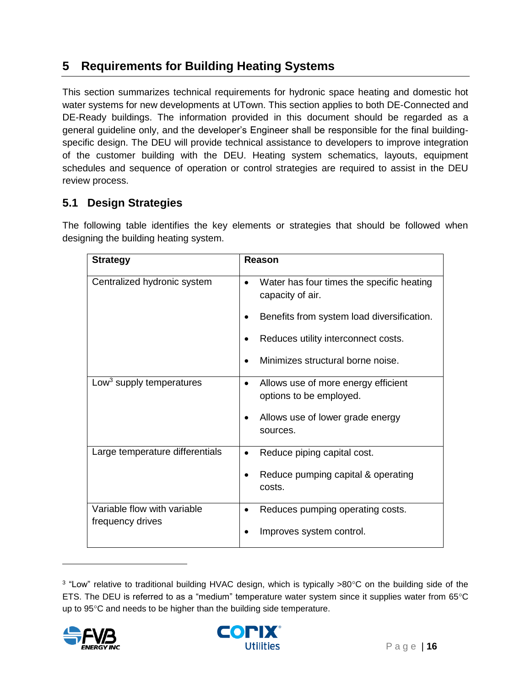## <span id="page-15-0"></span>**5 Requirements for Building Heating Systems**

This section summarizes technical requirements for hydronic space heating and domestic hot water systems for new developments at UTown. This section applies to both DE-Connected and DE-Ready buildings. The information provided in this document should be regarded as a general guideline only, and the developer's Engineer shall be responsible for the final buildingspecific design. The DEU will provide technical assistance to developers to improve integration of the customer building with the DEU. Heating system schematics, layouts, equipment schedules and sequence of operation or control strategies are required to assist in the DEU review process.

## **5.1 Design Strategies**

The following table identifies the key elements or strategies that should be followed when designing the building heating system.

| <b>Strategy</b>                                 | Reason                                                                      |  |  |
|-------------------------------------------------|-----------------------------------------------------------------------------|--|--|
| Centralized hydronic system                     | Water has four times the specific heating<br>$\bullet$<br>capacity of air.  |  |  |
|                                                 | Benefits from system load diversification.                                  |  |  |
|                                                 | Reduces utility interconnect costs.                                         |  |  |
|                                                 | Minimizes structural borne noise.                                           |  |  |
| Low <sup>3</sup> supply temperatures            | Allows use of more energy efficient<br>$\bullet$<br>options to be employed. |  |  |
|                                                 | Allows use of lower grade energy<br>sources.                                |  |  |
| Large temperature differentials                 | Reduce piping capital cost.<br>$\bullet$                                    |  |  |
|                                                 | Reduce pumping capital & operating<br>costs.                                |  |  |
| Variable flow with variable<br>frequency drives | Reduces pumping operating costs.<br>٠                                       |  |  |
|                                                 | Improves system control.                                                    |  |  |

<sup>&</sup>lt;sup>3</sup> "Low" relative to traditional building HVAC design, which is typically >80°C on the building side of the ETS. The DEU is referred to as a "medium" temperature water system since it supplies water from 65°C up to 95°C and needs to be higher than the building side temperature.



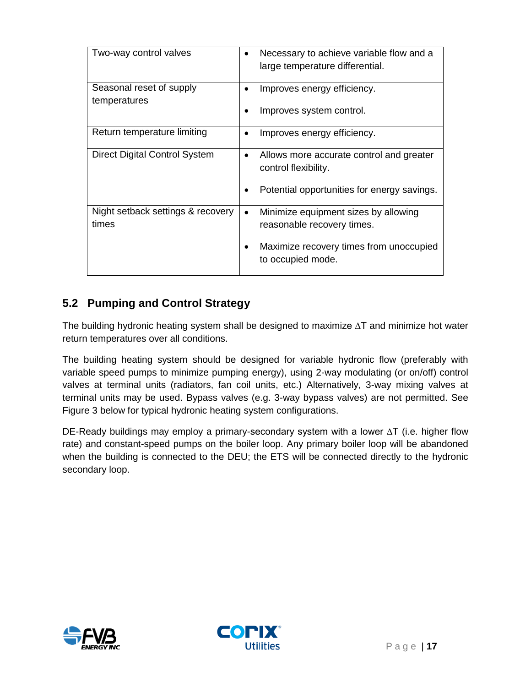| Two-way control valves               | Necessary to achieve variable flow and a<br>large temperature differential. |
|--------------------------------------|-----------------------------------------------------------------------------|
| Seasonal reset of supply             | Improves energy efficiency.                                                 |
| temperatures                         |                                                                             |
|                                      | Improves system control.                                                    |
| Return temperature limiting          | Improves energy efficiency.                                                 |
|                                      |                                                                             |
| <b>Direct Digital Control System</b> | Allows more accurate control and greater<br>٠                               |
|                                      | control flexibility.                                                        |
|                                      |                                                                             |
|                                      | Potential opportunities for energy savings.                                 |
| Night setback settings & recovery    | Minimize equipment sizes by allowing<br>$\bullet$                           |
| times                                | reasonable recovery times.                                                  |
|                                      | Maximize recovery times from unoccupied                                     |
|                                      | to occupied mode.                                                           |
|                                      |                                                                             |

## **5.2 Pumping and Control Strategy**

The building hydronic heating system shall be designed to maximize ∆T and minimize hot water return temperatures over all conditions.

The building heating system should be designed for variable hydronic flow (preferably with variable speed pumps to minimize pumping energy), using 2-way modulating (or on/off) control valves at terminal units (radiators, fan coil units, etc.) Alternatively, 3-way mixing valves at terminal units may be used. Bypass valves (e.g. 3-way bypass valves) are not permitted. See [Figure 3](#page-17-0) [below](#page-17-0) for typical hydronic heating system configurations.

DE-Ready buildings may employ a primary-secondary system with a lower ∆T (i.e. higher flow rate) and constant-speed pumps on the boiler loop. Any primary boiler loop will be abandoned when the building is connected to the DEU; the ETS will be connected directly to the hydronic secondary loop.



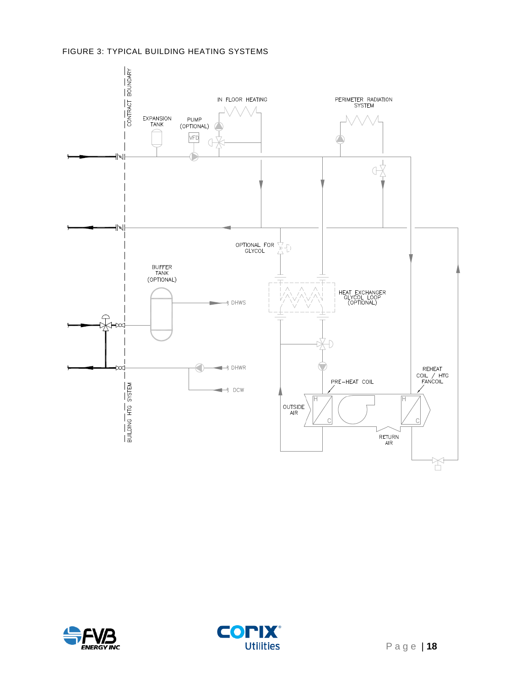#### <span id="page-17-0"></span>FIGURE 3: TYPICAL BUILDING HEATING SYSTEMS





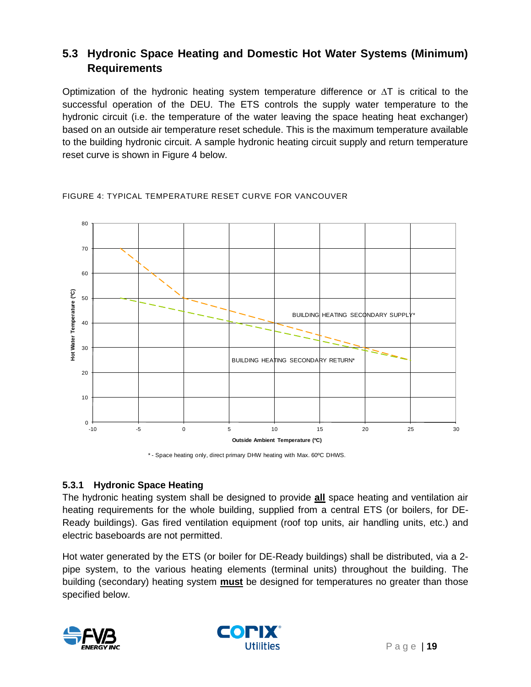## **5.3 Hydronic Space Heating and Domestic Hot Water Systems (Minimum) Requirements**

Optimization of the hydronic heating system temperature difference or  $\Delta T$  is critical to the successful operation of the DEU. The ETS controls the supply water temperature to the hydronic circuit (i.e. the temperature of the water leaving the space heating heat exchanger) based on an outside air temperature reset schedule. This is the maximum temperature available to the building hydronic circuit. A sample hydronic heating circuit supply and return temperature reset curve is shown in [Figure 4](#page-18-0) [below.](#page-18-0)



#### <span id="page-18-0"></span>FIGURE 4: TYPICAL TEMPERATURE RESET CURVE FOR VANCOUVER

\* - Space heating only, direct primary DHW heating with Max. 60ºC DHWS.

### **5.3.1 Hydronic Space Heating**

The hydronic heating system shall be designed to provide **all** space heating and ventilation air heating requirements for the whole building, supplied from a central ETS (or boilers, for DE-Ready buildings). Gas fired ventilation equipment (roof top units, air handling units, etc.) and electric baseboards are not permitted.

Hot water generated by the ETS (or boiler for DE-Ready buildings) shall be distributed, via a 2 pipe system, to the various heating elements (terminal units) throughout the building. The building (secondary) heating system **must** be designed for temperatures no greater than those specified below.



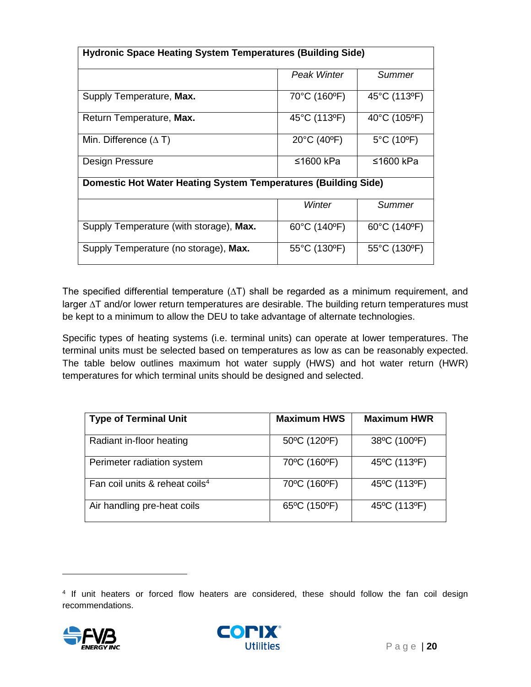| <b>Hydronic Space Heating System Temperatures (Building Side)</b>     |                                   |              |  |
|-----------------------------------------------------------------------|-----------------------------------|--------------|--|
|                                                                       |                                   |              |  |
|                                                                       | <b>Peak Winter</b>                | Summer       |  |
|                                                                       |                                   |              |  |
| Supply Temperature, Max.                                              | 70°C (160°F)                      | 45°C (113°F) |  |
|                                                                       |                                   |              |  |
| Return Temperature, Max.                                              | 45°C (113°F)                      | 40°C (105°F) |  |
|                                                                       |                                   |              |  |
| Min. Difference $(\Delta T)$                                          | 20°C (40°F)                       | 5°C (10°F)   |  |
|                                                                       |                                   |              |  |
| Design Pressure                                                       | ≤1600 kPa                         | ≤1600 kPa    |  |
|                                                                       |                                   |              |  |
| <b>Domestic Hot Water Heating System Temperatures (Building Side)</b> |                                   |              |  |
|                                                                       |                                   |              |  |
|                                                                       | Winter                            | Summer       |  |
|                                                                       |                                   |              |  |
| Supply Temperature (with storage), Max.                               | 60°C (140°F)                      | 60°C (140°F) |  |
|                                                                       |                                   |              |  |
| Supply Temperature (no storage), Max.                                 | $55^{\circ}$ C (130 $^{\circ}$ F) | 55°C (130°F) |  |
|                                                                       |                                   |              |  |
|                                                                       |                                   |              |  |

The specified differential temperature  $(\Delta T)$  shall be regarded as a minimum requirement, and larger ∆T and/or lower return temperatures are desirable. The building return temperatures must be kept to a minimum to allow the DEU to take advantage of alternate technologies.

Specific types of heating systems (i.e. terminal units) can operate at lower temperatures. The terminal units must be selected based on temperatures as low as can be reasonably expected. The table below outlines maximum hot water supply (HWS) and hot water return (HWR) temperatures for which terminal units should be designed and selected.

| <b>Type of Terminal Unit</b>               | <b>Maximum HWS</b> | <b>Maximum HWR</b> |
|--------------------------------------------|--------------------|--------------------|
| Radiant in-floor heating                   | 50°C (120°F)       | 38°C (100°F)       |
| Perimeter radiation system                 | 70°C (160°F)       | 45°C (113°F)       |
| Fan coil units & reheat coils <sup>4</sup> | 70°C (160°F)       | 45°C (113°F)       |
| Air handling pre-heat coils                | 65°C (150°F)       | 45°C (113°F)       |

<sup>4</sup> If unit heaters or forced flow heaters are considered, these should follow the fan coil design recommendations.